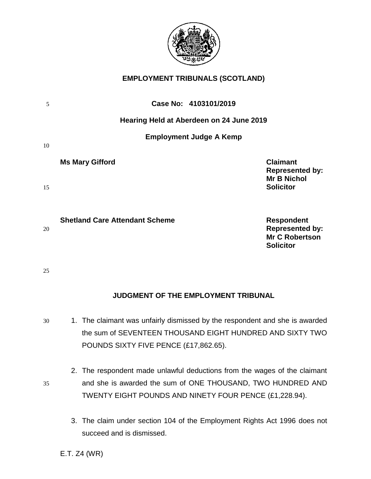

# **EMPLOYMENT TRIBUNALS (SCOTLAND)**

| 5  | Case No: 4103101/2019                                                                                                             |
|----|-----------------------------------------------------------------------------------------------------------------------------------|
|    | Hearing Held at Aberdeen on 24 June 2019                                                                                          |
| 10 | <b>Employment Judge A Kemp</b>                                                                                                    |
| 15 | <b>Claimant</b><br><b>Ms Mary Gifford</b><br><b>Represented by:</b><br><b>Mr B Nichol</b><br><b>Solicitor</b>                     |
| 20 | <b>Shetland Care Attendant Scheme</b><br><b>Respondent</b><br><b>Represented by:</b><br><b>Mr C Robertson</b><br><b>Solicitor</b> |

# **JUDGMENT OF THE EMPLOYMENT TRIBUNAL**

- 30 1. The claimant was unfairly dismissed by the respondent and she is awarded the sum of SEVENTEEN THOUSAND EIGHT HUNDRED AND SIXTY TWO POUNDS SIXTY FIVE PENCE (£17,862.65).
- 2. The respondent made unlawful deductions from the wages of the claimant 35 and she is awarded the sum of ONE THOUSAND, TWO HUNDRED AND TWENTY EIGHT POUNDS AND NINETY FOUR PENCE (£1,228.94).
	- 3. The claim under section 104 of the Employment Rights Act 1996 does not succeed and is dismissed.

E.T. Z4 (WR)

25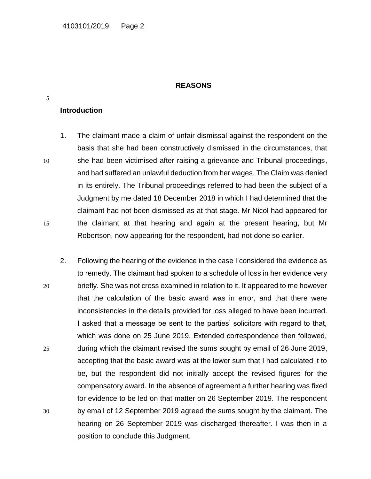#### **REASONS**

#### **Introduction**

5

1. The claimant made a claim of unfair dismissal against the respondent on the basis that she had been constructively dismissed in the circumstances, that 10 she had been victimised after raising a grievance and Tribunal proceedings, and had suffered an unlawful deduction from her wages. The Claim was denied in its entirely. The Tribunal proceedings referred to had been the subject of a Judgment by me dated 18 December 2018 in which I had determined that the claimant had not been dismissed as at that stage. Mr Nicol had appeared for 15 the claimant at that hearing and again at the present hearing, but Mr Robertson, now appearing for the respondent, had not done so earlier.

2. Following the hearing of the evidence in the case I considered the evidence as to remedy. The claimant had spoken to a schedule of loss in her evidence very 20 briefly. She was not cross examined in relation to it. It appeared to me however that the calculation of the basic award was in error, and that there were inconsistencies in the details provided for loss alleged to have been incurred. I asked that a message be sent to the parties' solicitors with regard to that, which was done on 25 June 2019. Extended correspondence then followed, 25 during which the claimant revised the sums sought by email of 26 June 2019, accepting that the basic award was at the lower sum that I had calculated it to be, but the respondent did not initially accept the revised figures for the compensatory award. In the absence of agreement a further hearing was fixed for evidence to be led on that matter on 26 September 2019. The respondent 30 by email of 12 September 2019 agreed the sums sought by the claimant. The hearing on 26 September 2019 was discharged thereafter. I was then in a position to conclude this Judgment.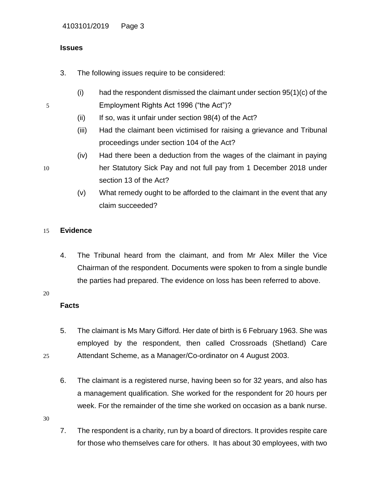# **Issues**

- 3. The following issues require to be considered:
- $(i)$  had the respondent dismissed the claimant under section 95(1)(c) of the 5 Employment Rights Act 1996 ("the Act")?
	- $(ii)$  If so, was it unfair under section  $98(4)$  of the Act?
	- (iii) Had the claimant been victimised for raising a grievance and Tribunal proceedings under section 104 of the Act?
	- (iv) Had there been a deduction from the wages of the claimant in paying
- 10 her Statutory Sick Pay and not full pay from 1 December 2018 under section 13 of the Act?
	- (v) What remedy ought to be afforded to the claimant in the event that any claim succeeded?

# 15 **Evidence**

4. The Tribunal heard from the claimant, and from Mr Alex Miller the Vice Chairman of the respondent. Documents were spoken to from a single bundle the parties had prepared. The evidence on loss has been referred to above.

#### 20

# **Facts**

- 5. The claimant is Ms Mary Gifford. Her date of birth is 6 February 1963. She was employed by the respondent, then called Crossroads (Shetland) Care 25 Attendant Scheme, as a Manager/Co-ordinator on 4 August 2003.
	- 6. The claimant is a registered nurse, having been so for 32 years, and also has a management qualification. She worked for the respondent for 20 hours per week. For the remainder of the time she worked on occasion as a bank nurse.

30

7. The respondent is a charity, run by a board of directors. It provides respite care for those who themselves care for others. It has about 30 employees, with two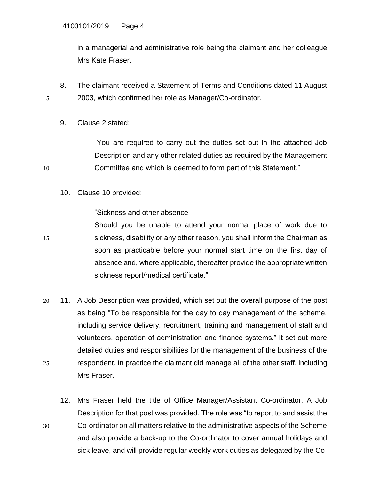in a managerial and administrative role being the claimant and her colleague Mrs Kate Fraser.

- 8. The claimant received a Statement of Terms and Conditions dated 11 August 5 2003, which confirmed her role as Manager/Co-ordinator.
	- 9. Clause 2 stated:

"You are required to carry out the duties set out in the attached Job Description and any other related duties as required by the Management 10 Committee and which is deemed to form part of this Statement."

10. Clause 10 provided:

### "Sickness and other absence

Should you be unable to attend your normal place of work due to 15 sickness, disability or any other reason, you shall inform the Chairman as soon as practicable before your normal start time on the first day of absence and, where applicable, thereafter provide the appropriate written sickness report/medical certificate."

- 20 11. A Job Description was provided, which set out the overall purpose of the post as being "To be responsible for the day to day management of the scheme, including service delivery, recruitment, training and management of staff and volunteers, operation of administration and finance systems." It set out more detailed duties and responsibilities for the management of the business of the 25 respondent. In practice the claimant did manage all of the other staff, including Mrs Fraser.
- 12. Mrs Fraser held the title of Office Manager/Assistant Co-ordinator. A Job Description for that post was provided. The role was "to report to and assist the 30 Co-ordinator on all matters relative to the administrative aspects of the Scheme and also provide a back-up to the Co-ordinator to cover annual holidays and sick leave, and will provide regular weekly work duties as delegated by the Co-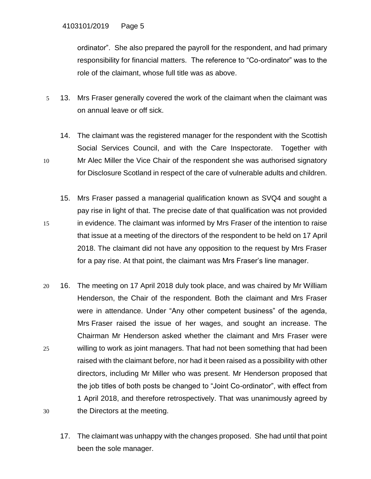ordinator". She also prepared the payroll for the respondent, and had primary responsibility for financial matters. The reference to "Co-ordinator" was to the role of the claimant, whose full title was as above.

- 5 13. Mrs Fraser generally covered the work of the claimant when the claimant was on annual leave or off sick.
- 14. The claimant was the registered manager for the respondent with the Scottish Social Services Council, and with the Care Inspectorate. Together with 10 Mr Alec Miller the Vice Chair of the respondent she was authorised signatory for Disclosure Scotland in respect of the care of vulnerable adults and children.
- 15. Mrs Fraser passed a managerial qualification known as SVQ4 and sought a pay rise in light of that. The precise date of that qualification was not provided 15 in evidence. The claimant was informed by Mrs Fraser of the intention to raise that issue at a meeting of the directors of the respondent to be held on 17 April 2018. The claimant did not have any opposition to the request by Mrs Fraser for a pay rise. At that point, the claimant was Mrs Fraser's line manager.
- 20 16. The meeting on 17 April 2018 duly took place, and was chaired by Mr William Henderson, the Chair of the respondent. Both the claimant and Mrs Fraser were in attendance. Under "Any other competent business" of the agenda, Mrs Fraser raised the issue of her wages, and sought an increase. The Chairman Mr Henderson asked whether the claimant and Mrs Fraser were 25 willing to work as joint managers. That had not been something that had been raised with the claimant before, nor had it been raised as a possibility with other directors, including Mr Miller who was present. Mr Henderson proposed that the job titles of both posts be changed to "Joint Co-ordinator", with effect from 1 April 2018, and therefore retrospectively. That was unanimously agreed by 30 the Directors at the meeting.
	- 17. The claimant was unhappy with the changes proposed. She had until that point been the sole manager.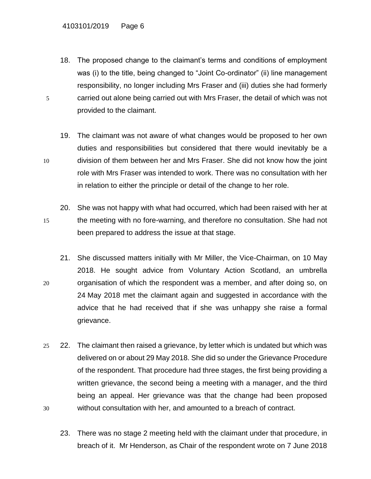18. The proposed change to the claimant's terms and conditions of employment was (i) to the title, being changed to "Joint Co-ordinator" (ii) line management responsibility, no longer including Mrs Fraser and (iii) duties she had formerly 5 carried out alone being carried out with Mrs Fraser, the detail of which was not provided to the claimant.

19. The claimant was not aware of what changes would be proposed to her own duties and responsibilities but considered that there would inevitably be a 10 division of them between her and Mrs Fraser. She did not know how the joint role with Mrs Fraser was intended to work. There was no consultation with her in relation to either the principle or detail of the change to her role.

- 20. She was not happy with what had occurred, which had been raised with her at 15 the meeting with no fore-warning, and therefore no consultation. She had not been prepared to address the issue at that stage.
- 21. She discussed matters initially with Mr Miller, the Vice-Chairman, on 10 May 2018. He sought advice from Voluntary Action Scotland, an umbrella 20 organisation of which the respondent was a member, and after doing so, on 24 May 2018 met the claimant again and suggested in accordance with the advice that he had received that if she was unhappy she raise a formal grievance.
- 25 22. The claimant then raised a grievance, by letter which is undated but which was delivered on or about 29 May 2018. She did so under the Grievance Procedure of the respondent. That procedure had three stages, the first being providing a written grievance, the second being a meeting with a manager, and the third being an appeal. Her grievance was that the change had been proposed 30 without consultation with her, and amounted to a breach of contract.
	- 23. There was no stage 2 meeting held with the claimant under that procedure, in breach of it. Mr Henderson, as Chair of the respondent wrote on 7 June 2018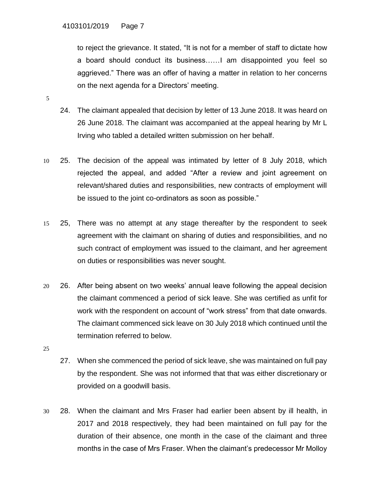to reject the grievance. It stated, "It is not for a member of staff to dictate how a board should conduct its business……I am disappointed you feel so aggrieved." There was an offer of having a matter in relation to her concerns on the next agenda for a Directors' meeting.

- 5
- 24. The claimant appealed that decision by letter of 13 June 2018. It was heard on 26 June 2018. The claimant was accompanied at the appeal hearing by Mr L Irving who tabled a detailed written submission on her behalf.
- 10 25. The decision of the appeal was intimated by letter of 8 July 2018, which rejected the appeal, and added "After a review and joint agreement on relevant/shared duties and responsibilities, new contracts of employment will be issued to the joint co-ordinators as soon as possible."
- 15 25, There was no attempt at any stage thereafter by the respondent to seek agreement with the claimant on sharing of duties and responsibilities, and no such contract of employment was issued to the claimant, and her agreement on duties or responsibilities was never sought.
- 20 26. After being absent on two weeks' annual leave following the appeal decision the claimant commenced a period of sick leave. She was certified as unfit for work with the respondent on account of "work stress" from that date onwards. The claimant commenced sick leave on 30 July 2018 which continued until the termination referred to below.
- 25
- 27. When she commenced the period of sick leave, she was maintained on full pay by the respondent. She was not informed that that was either discretionary or provided on a goodwill basis.
- 30 28. When the claimant and Mrs Fraser had earlier been absent by ill health, in 2017 and 2018 respectively, they had been maintained on full pay for the duration of their absence, one month in the case of the claimant and three months in the case of Mrs Fraser. When the claimant's predecessor Mr Molloy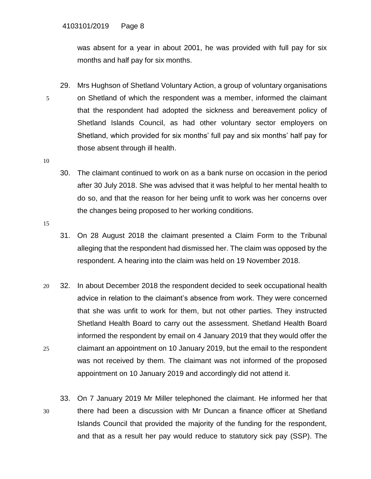was absent for a year in about 2001, he was provided with full pay for six months and half pay for six months.

- 29. Mrs Hughson of Shetland Voluntary Action, a group of voluntary organisations 5 on Shetland of which the respondent was a member, informed the claimant that the respondent had adopted the sickness and bereavement policy of Shetland Islands Council, as had other voluntary sector employers on Shetland, which provided for six months' full pay and six months' half pay for those absent through ill health.
- 10
- 30. The claimant continued to work on as a bank nurse on occasion in the period after 30 July 2018. She was advised that it was helpful to her mental health to do so, and that the reason for her being unfit to work was her concerns over the changes being proposed to her working conditions.
- 15
- 31. On 28 August 2018 the claimant presented a Claim Form to the Tribunal alleging that the respondent had dismissed her. The claim was opposed by the respondent. A hearing into the claim was held on 19 November 2018.
- 20 32. In about December 2018 the respondent decided to seek occupational health advice in relation to the claimant's absence from work. They were concerned that she was unfit to work for them, but not other parties. They instructed Shetland Health Board to carry out the assessment. Shetland Health Board informed the respondent by email on 4 January 2019 that they would offer the 25 claimant an appointment on 10 January 2019, but the email to the respondent was not received by them. The claimant was not informed of the proposed appointment on 10 January 2019 and accordingly did not attend it.
- 33. On 7 January 2019 Mr Miller telephoned the claimant. He informed her that 30 there had been a discussion with Mr Duncan a finance officer at Shetland Islands Council that provided the majority of the funding for the respondent, and that as a result her pay would reduce to statutory sick pay (SSP). The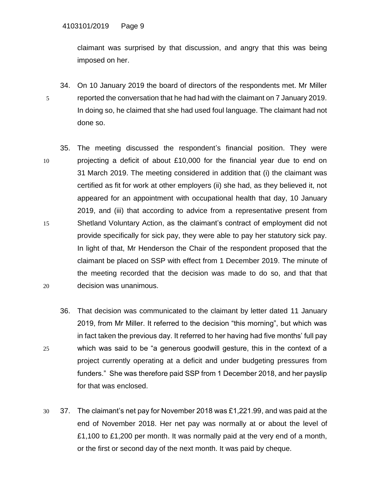claimant was surprised by that discussion, and angry that this was being imposed on her.

- 34. On 10 January 2019 the board of directors of the respondents met. Mr Miller 5 reported the conversation that he had had with the claimant on 7 January 2019. In doing so, he claimed that she had used foul language. The claimant had not done so.
- 35. The meeting discussed the respondent's financial position. They were 10 projecting a deficit of about £10,000 for the financial year due to end on 31 March 2019. The meeting considered in addition that (i) the claimant was certified as fit for work at other employers (ii) she had, as they believed it, not appeared for an appointment with occupational health that day, 10 January 2019, and (iii) that according to advice from a representative present from 15 Shetland Voluntary Action, as the claimant's contract of employment did not provide specifically for sick pay, they were able to pay her statutory sick pay. In light of that, Mr Henderson the Chair of the respondent proposed that the claimant be placed on SSP with effect from 1 December 2019. The minute of the meeting recorded that the decision was made to do so, and that that 20 decision was unanimous.
- 36. That decision was communicated to the claimant by letter dated 11 January 2019, from Mr Miller. It referred to the decision "this morning", but which was in fact taken the previous day. It referred to her having had five months' full pay 25 which was said to be "a generous goodwill gesture, this in the context of a project currently operating at a deficit and under budgeting pressures from funders." She was therefore paid SSP from 1 December 2018, and her payslip for that was enclosed.
- 30 37. The claimant's net pay for November 2018 was £1,221.99, and was paid at the end of November 2018. Her net pay was normally at or about the level of £1,100 to £1,200 per month. It was normally paid at the very end of a month, or the first or second day of the next month. It was paid by cheque.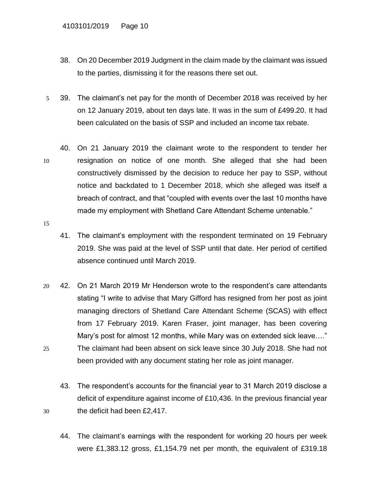- 38. On 20 December 2019 Judgment in the claim made by the claimant was issued to the parties, dismissing it for the reasons there set out.
- 5 39. The claimant's net pay for the month of December 2018 was received by her on 12 January 2019, about ten days late. It was in the sum of £499.20. It had been calculated on the basis of SSP and included an income tax rebate.
- 40. On 21 January 2019 the claimant wrote to the respondent to tender her 10 resignation on notice of one month. She alleged that she had been constructively dismissed by the decision to reduce her pay to SSP, without notice and backdated to 1 December 2018, which she alleged was itself a breach of contract, and that "coupled with events over the last 10 months have made my employment with Shetland Care Attendant Scheme untenable."
- 15
- 41. The claimant's employment with the respondent terminated on 19 February 2019. She was paid at the level of SSP until that date. Her period of certified absence continued until March 2019.
- 20 42. On 21 March 2019 Mr Henderson wrote to the respondent's care attendants stating "I write to advise that Mary Gifford has resigned from her post as joint managing directors of Shetland Care Attendant Scheme (SCAS) with effect from 17 February 2019. Karen Fraser, joint manager, has been covering Mary's post for almost 12 months, while Mary was on extended sick leave…." 25 The claimant had been absent on sick leave since 30 July 2018. She had not been provided with any document stating her role as joint manager.
- 43. The respondent's accounts for the financial year to 31 March 2019 disclose a deficit of expenditure against income of £10,436. In the previous financial year 30 the deficit had been £2,417.
	- 44. The claimant's earnings with the respondent for working 20 hours per week were £1,383.12 gross, £1,154.79 net per month, the equivalent of £319.18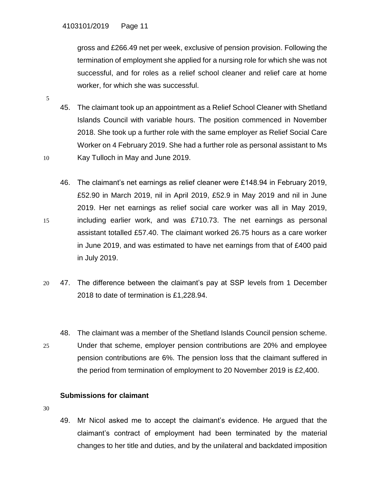gross and £266.49 net per week, exclusive of pension provision. Following the termination of employment she applied for a nursing role for which she was not successful, and for roles as a relief school cleaner and relief care at home worker, for which she was successful.

- 45. The claimant took up an appointment as a Relief School Cleaner with Shetland Islands Council with variable hours. The position commenced in November 2018. She took up a further role with the same employer as Relief Social Care Worker on 4 February 2019. She had a further role as personal assistant to Ms 10 Kay Tulloch in May and June 2019.
- 46. The claimant's net earnings as relief cleaner were £148.94 in February 2019, £52.90 in March 2019, nil in April 2019, £52.9 in May 2019 and nil in June 2019. Her net earnings as relief social care worker was all in May 2019, 15 including earlier work, and was £710.73. The net earnings as personal assistant totalled £57.40. The claimant worked 26.75 hours as a care worker in June 2019, and was estimated to have net earnings from that of £400 paid in July 2019.
- 20 47. The difference between the claimant's pay at SSP levels from 1 December 2018 to date of termination is £1,228.94.
- 48. The claimant was a member of the Shetland Islands Council pension scheme. 25 Under that scheme, employer pension contributions are 20% and employee pension contributions are 6%. The pension loss that the claimant suffered in the period from termination of employment to 20 November 2019 is £2,400.

# **Submissions for claimant**

30

5

49. Mr Nicol asked me to accept the claimant's evidence. He argued that the claimant's contract of employment had been terminated by the material changes to her title and duties, and by the unilateral and backdated imposition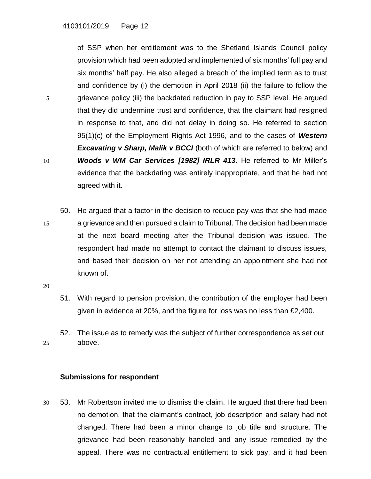of SSP when her entitlement was to the Shetland Islands Council policy provision which had been adopted and implemented of six months' full pay and six months' half pay. He also alleged a breach of the implied term as to trust and confidence by (i) the demotion in April 2018 (ii) the failure to follow the 5 grievance policy (iii) the backdated reduction in pay to SSP level. He argued that they did undermine trust and confidence, that the claimant had resigned in response to that, and did not delay in doing so. He referred to section 95(1)(c) of the Employment Rights Act 1996, and to the cases of *Western*  **Excavating v Sharp, Malik v BCCI** (both of which are referred to below) and 10 *Woods v WM Car Services [1982] IRLR 413.* He referred to Mr Miller's evidence that the backdating was entirely inappropriate, and that he had not agreed with it.

- 50. He argued that a factor in the decision to reduce pay was that she had made 15 a grievance and then pursued a claim to Tribunal. The decision had been made at the next board meeting after the Tribunal decision was issued. The respondent had made no attempt to contact the claimant to discuss issues, and based their decision on her not attending an appointment she had not known of.
- 20
- 51. With regard to pension provision, the contribution of the employer had been given in evidence at 20%, and the figure for loss was no less than £2,400.
- 52. The issue as to remedy was the subject of further correspondence as set out 25 above.

#### **Submissions for respondent**

30 53. Mr Robertson invited me to dismiss the claim. He argued that there had been no demotion, that the claimant's contract, job description and salary had not changed. There had been a minor change to job title and structure. The grievance had been reasonably handled and any issue remedied by the appeal. There was no contractual entitlement to sick pay, and it had been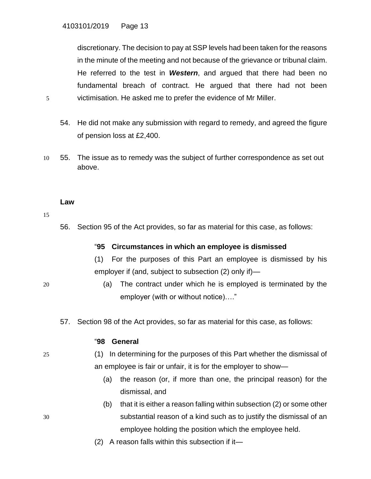discretionary. The decision to pay at SSP levels had been taken for the reasons in the minute of the meeting and not because of the grievance or tribunal claim. He referred to the test in *Western*, and argued that there had been no fundamental breach of contract. He argued that there had not been 5 victimisation. He asked me to prefer the evidence of Mr Miller.

- 54. He did not make any submission with regard to remedy, and agreed the figure of pension loss at £2,400.
- 10 55. The issue as to remedy was the subject of further correspondence as set out above.

#### **Law**

15

56. Section 95 of the Act provides, so far as material for this case, as follows:

#### "**95 Circumstances in which an employee is dismissed**

(1) For the purposes of this Part an employee is dismissed by his employer if (and, subject to subsection (2) only if)—

- 20 (a) The contract under which he is employed is terminated by the employer (with or without notice)…."
	- 57. Section 98 of the Act provides, so far as material for this case, as follows:

#### "**98 General**

- 
- 25 (1) In determining for the purposes of this Part whether the dismissal of an employee is fair or unfair, it is for the employer to show—
	- (a) the reason (or, if more than one, the principal reason) for the dismissal, and
- (b) that it is either a reason falling within subsection (2) or some other 30 substantial reason of a kind such as to justify the dismissal of an employee holding the position which the employee held.
	- (2) A reason falls within this subsection if it—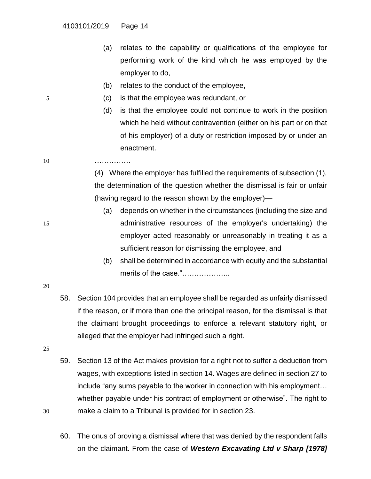- (a) relates to the capability or qualifications of the employee for performing work of the kind which he was employed by the employer to do,
- (b) relates to the conduct of the employee,
- 5 (c) is that the employee was redundant, or
	- (d) is that the employee could not continue to work in the position which he held without contravention (either on his part or on that of his employer) of a duty or restriction imposed by or under an enactment.
- 10 ……………

(4) Where the employer has fulfilled the requirements of subsection (1), the determination of the question whether the dismissal is fair or unfair (having regard to the reason shown by the employer)—

- (a) depends on whether in the circumstances (including the size and 15 administrative resources of the employer's undertaking) the employer acted reasonably or unreasonably in treating it as a sufficient reason for dismissing the employee, and
	- (b) shall be determined in accordance with equity and the substantial merits of the case."......................

- 20
- 58. Section 104 provides that an employee shall be regarded as unfairly dismissed if the reason, or if more than one the principal reason, for the dismissal is that the claimant brought proceedings to enforce a relevant statutory right, or alleged that the employer had infringed such a right.
- 25
- 59. Section 13 of the Act makes provision for a right not to suffer a deduction from wages, with exceptions listed in section 14. Wages are defined in section 27 to include "any sums payable to the worker in connection with his employment… whether payable under his contract of employment or otherwise". The right to 30 make a claim to a Tribunal is provided for in section 23.
	- 60. The onus of proving a dismissal where that was denied by the respondent falls on the claimant. From the case of *Western Excavating Ltd v Sharp [1978]*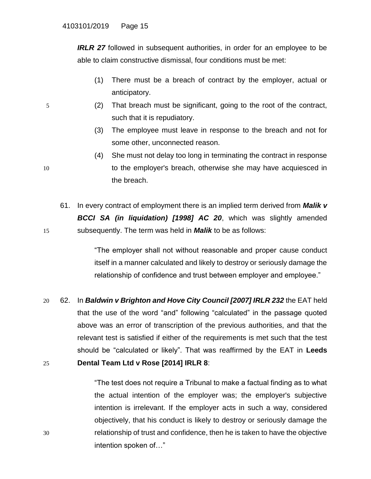*IRLR 27* followed in subsequent authorities, in order for an employee to be able to claim constructive dismissal, four conditions must be met:

- (1) There must be a breach of contract by the employer, actual or anticipatory.
- 5 (2) That breach must be significant, going to the root of the contract, such that it is repudiatory.
	- (3) The employee must leave in response to the breach and not for some other, unconnected reason.
- (4) She must not delay too long in terminating the contract in response 10 to the employer's breach, otherwise she may have acquiesced in the breach.
- 61. In every contract of employment there is an implied term derived from *Malik v BCCI SA (in liquidation) [1998] AC 20*, which was slightly amended 15 subsequently. The term was held in *Malik* to be as follows:

"The employer shall not without reasonable and proper cause conduct itself in a manner calculated and likely to destroy or seriously damage the relationship of confidence and trust between employer and employee."

20 62. In *Baldwin v Brighton and Hove City Council [2007] IRLR 232* the EAT held that the use of the word "and" following "calculated" in the passage quoted above was an error of transcription of the previous authorities, and that the relevant test is satisfied if either of the requirements is met such that the test should be "calculated or likely". That was reaffirmed by the EAT in **Leeds**  25 **Dental Team Ltd v Rose [2014] IRLR 8**:

"The test does not require a Tribunal to make a factual finding as to what the actual intention of the employer was; the employer's subjective intention is irrelevant. If the employer acts in such a way, considered objectively, that his conduct is likely to destroy or seriously damage the 30 relationship of trust and confidence, then he is taken to have the objective intention spoken of…"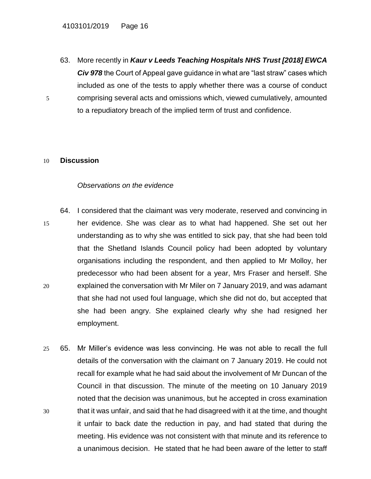63. More recently in *Kaur v Leeds Teaching Hospitals NHS Trust [2018] EWCA Civ 978* the Court of Appeal gave guidance in what are "last straw" cases which included as one of the tests to apply whether there was a course of conduct 5 comprising several acts and omissions which, viewed cumulatively, amounted to a repudiatory breach of the implied term of trust and confidence.

#### 10 **Discussion**

#### *Observations on the evidence*

- 64. I considered that the claimant was very moderate, reserved and convincing in 15 her evidence. She was clear as to what had happened. She set out her understanding as to why she was entitled to sick pay, that she had been told that the Shetland Islands Council policy had been adopted by voluntary organisations including the respondent, and then applied to Mr Molloy, her predecessor who had been absent for a year, Mrs Fraser and herself. She 20 explained the conversation with Mr Miler on 7 January 2019, and was adamant that she had not used foul language, which she did not do, but accepted that she had been angry. She explained clearly why she had resigned her employment.
- 25 65. Mr Miller's evidence was less convincing. He was not able to recall the full details of the conversation with the claimant on 7 January 2019. He could not recall for example what he had said about the involvement of Mr Duncan of the Council in that discussion. The minute of the meeting on 10 January 2019 noted that the decision was unanimous, but he accepted in cross examination 30 that it was unfair, and said that he had disagreed with it at the time, and thought it unfair to back date the reduction in pay, and had stated that during the meeting. His evidence was not consistent with that minute and its reference to a unanimous decision. He stated that he had been aware of the letter to staff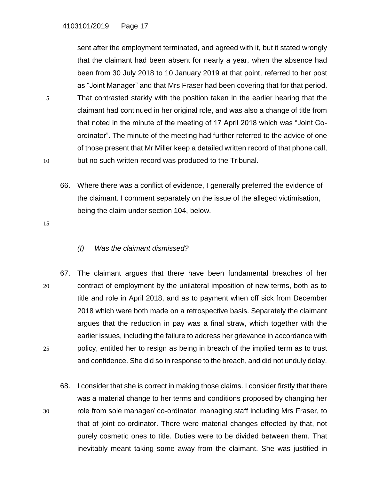sent after the employment terminated, and agreed with it, but it stated wrongly that the claimant had been absent for nearly a year, when the absence had been from 30 July 2018 to 10 January 2019 at that point, referred to her post as "Joint Manager" and that Mrs Fraser had been covering that for that period. 5 That contrasted starkly with the position taken in the earlier hearing that the claimant had continued in her original role, and was also a change of title from that noted in the minute of the meeting of 17 April 2018 which was "Joint Coordinator". The minute of the meeting had further referred to the advice of one of those present that Mr Miller keep a detailed written record of that phone call, 10 but no such written record was produced to the Tribunal.

66. Where there was a conflict of evidence, I generally preferred the evidence of the claimant. I comment separately on the issue of the alleged victimisation, being the claim under section 104, below.

15

# *(I) Was the claimant dismissed?*

- 67. The claimant argues that there have been fundamental breaches of her 20 contract of employment by the unilateral imposition of new terms, both as to title and role in April 2018, and as to payment when off sick from December 2018 which were both made on a retrospective basis. Separately the claimant argues that the reduction in pay was a final straw, which together with the earlier issues, including the failure to address her grievance in accordance with 25 policy, entitled her to resign as being in breach of the implied term as to trust and confidence. She did so in response to the breach, and did not unduly delay.
- 68. I consider that she is correct in making those claims. I consider firstly that there was a material change to her terms and conditions proposed by changing her 30 role from sole manager/ co-ordinator, managing staff including Mrs Fraser, to that of joint co-ordinator. There were material changes effected by that, not purely cosmetic ones to title. Duties were to be divided between them. That inevitably meant taking some away from the claimant. She was justified in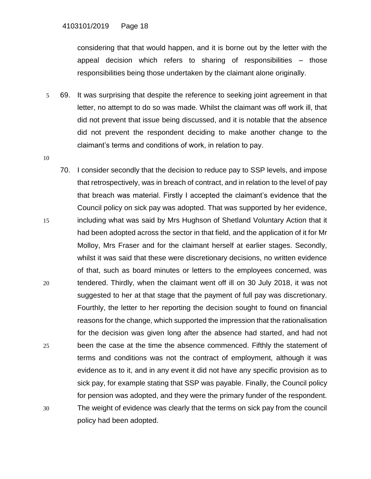considering that that would happen, and it is borne out by the letter with the appeal decision which refers to sharing of responsibilities – those responsibilities being those undertaken by the claimant alone originally.

- 5 69. It was surprising that despite the reference to seeking joint agreement in that letter, no attempt to do so was made. Whilst the claimant was off work ill, that did not prevent that issue being discussed, and it is notable that the absence did not prevent the respondent deciding to make another change to the claimant's terms and conditions of work, in relation to pay.
- 10
- 70. I consider secondly that the decision to reduce pay to SSP levels, and impose that retrospectively, was in breach of contract, and in relation to the level of pay that breach was material. Firstly I accepted the claimant's evidence that the Council policy on sick pay was adopted. That was supported by her evidence, 15 including what was said by Mrs Hughson of Shetland Voluntary Action that it had been adopted across the sector in that field, and the application of it for Mr Molloy, Mrs Fraser and for the claimant herself at earlier stages. Secondly, whilst it was said that these were discretionary decisions, no written evidence of that, such as board minutes or letters to the employees concerned, was 20 tendered. Thirdly, when the claimant went off ill on 30 July 2018, it was not suggested to her at that stage that the payment of full pay was discretionary. Fourthly, the letter to her reporting the decision sought to found on financial reasons for the change, which supported the impression that the rationalisation for the decision was given long after the absence had started, and had not 25 been the case at the time the absence commenced. Fifthly the statement of terms and conditions was not the contract of employment, although it was evidence as to it, and in any event it did not have any specific provision as to sick pay, for example stating that SSP was payable. Finally, the Council policy for pension was adopted, and they were the primary funder of the respondent. 30 The weight of evidence was clearly that the terms on sick pay from the council policy had been adopted.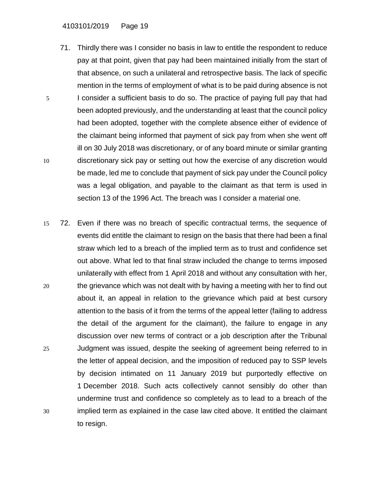- 71. Thirdly there was I consider no basis in law to entitle the respondent to reduce pay at that point, given that pay had been maintained initially from the start of that absence, on such a unilateral and retrospective basis. The lack of specific mention in the terms of employment of what is to be paid during absence is not 5 I consider a sufficient basis to do so. The practice of paying full pay that had been adopted previously, and the understanding at least that the council policy had been adopted, together with the complete absence either of evidence of the claimant being informed that payment of sick pay from when she went off ill on 30 July 2018 was discretionary, or of any board minute or similar granting 10 discretionary sick pay or setting out how the exercise of any discretion would be made, led me to conclude that payment of sick pay under the Council policy was a legal obligation, and payable to the claimant as that term is used in section 13 of the 1996 Act. The breach was I consider a material one.
- 15 72. Even if there was no breach of specific contractual terms, the sequence of events did entitle the claimant to resign on the basis that there had been a final straw which led to a breach of the implied term as to trust and confidence set out above. What led to that final straw included the change to terms imposed unilaterally with effect from 1 April 2018 and without any consultation with her, 20 the grievance which was not dealt with by having a meeting with her to find out about it, an appeal in relation to the grievance which paid at best cursory attention to the basis of it from the terms of the appeal letter (failing to address the detail of the argument for the claimant), the failure to engage in any discussion over new terms of contract or a job description after the Tribunal 25 Judgment was issued, despite the seeking of agreement being referred to in the letter of appeal decision, and the imposition of reduced pay to SSP levels by decision intimated on 11 January 2019 but purportedly effective on 1 December 2018. Such acts collectively cannot sensibly do other than undermine trust and confidence so completely as to lead to a breach of the 30 implied term as explained in the case law cited above. It entitled the claimant to resign.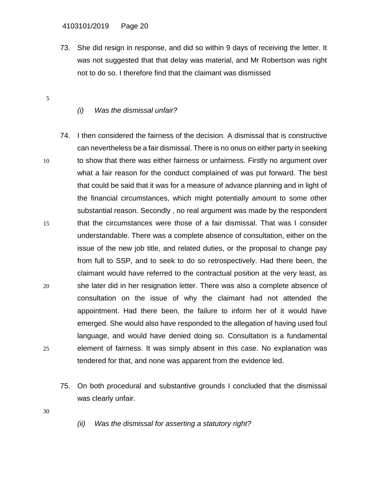73. She did resign in response, and did so within 9 days of receiving the letter. It was not suggested that that delay was material, and Mr Robertson was right not to do so. I therefore find that the claimant was dismissed

# *(i) Was the dismissal unfair?*

- 74. I then considered the fairness of the decision. A dismissal that is constructive can nevertheless be a fair dismissal. There is no onus on either party in seeking 10 to show that there was either fairness or unfairness. Firstly no argument over what a fair reason for the conduct complained of was put forward. The best that could be said that it was for a measure of advance planning and in light of the financial circumstances, which might potentially amount to some other substantial reason. Secondly , no real argument was made by the respondent 15 that the circumstances were those of a fair dismissal. That was I consider understandable. There was a complete absence of consultation, either on the issue of the new job title, and related duties, or the proposal to change pay from full to SSP, and to seek to do so retrospectively. Had there been, the claimant would have referred to the contractual position at the very least, as 20 she later did in her resignation letter. There was also a complete absence of consultation on the issue of why the claimant had not attended the appointment. Had there been, the failure to inform her of it would have emerged. She would also have responded to the allegation of having used foul language, and would have denied doing so. Consultation is a fundamental 25 element of fairness. It was simply absent in this case. No explanation was tendered for that, and none was apparent from the evidence led.
	- 75. On both procedural and substantive grounds I concluded that the dismissal was clearly unfair.
- 30

5

*(ii) Was the dismissal for asserting a statutory right?*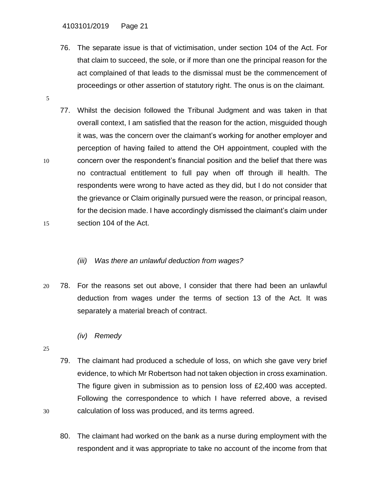- 76. The separate issue is that of victimisation, under section 104 of the Act. For that claim to succeed, the sole, or if more than one the principal reason for the act complained of that leads to the dismissal must be the commencement of proceedings or other assertion of statutory right. The onus is on the claimant.
- 77. Whilst the decision followed the Tribunal Judgment and was taken in that overall context, I am satisfied that the reason for the action, misguided though it was, was the concern over the claimant's working for another employer and perception of having failed to attend the OH appointment, coupled with the 10 concern over the respondent's financial position and the belief that there was no contractual entitlement to full pay when off through ill health. The respondents were wrong to have acted as they did, but I do not consider that the grievance or Claim originally pursued were the reason, or principal reason, for the decision made. I have accordingly dismissed the claimant's claim under

15 section 104 of the Act.

# *(iii) Was there an unlawful deduction from wages?*

- 20 78. For the reasons set out above, I consider that there had been an unlawful deduction from wages under the terms of section 13 of the Act. It was separately a material breach of contract.
	- *(iv) Remedy*
- 25
- 79. The claimant had produced a schedule of loss, on which she gave very brief evidence, to which Mr Robertson had not taken objection in cross examination. The figure given in submission as to pension loss of £2,400 was accepted. Following the correspondence to which I have referred above, a revised 30 calculation of loss was produced, and its terms agreed.
	- 80. The claimant had worked on the bank as a nurse during employment with the respondent and it was appropriate to take no account of the income from that

5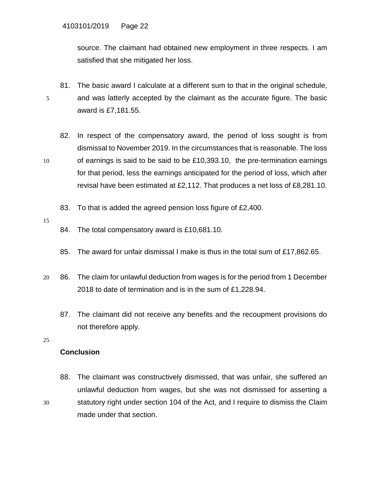source. The claimant had obtained new employment in three respects. I am satisfied that she mitigated her loss.

- 81. The basic award I calculate at a different sum to that in the original schedule, 5 and was latterly accepted by the claimant as the accurate figure. The basic award is £7,181.55.
- 82. In respect of the compensatory award, the period of loss sought is from dismissal to November 2019. In the circumstances that is reasonable. The loss 10 of earnings is said to be said to be £10,393.10, the pre-termination earnings for that period, less the earnings anticipated for the period of loss, which after revisal have been estimated at £2,112. That produces a net loss of £8,281.10.
	- 83. To that is added the agreed pension loss figure of £2,400.
- 15
- 84. The total compensatory award is £10,681.10.
- 85. The award for unfair dismissal I make is thus in the total sum of £17,862.65.
- 20 86. The claim for unlawful deduction from wages is for the period from 1 December 2018 to date of termination and is in the sum of £1,228.94.
	- 87. The claimant did not receive any benefits and the recoupment provisions do not therefore apply.
- 25

# **Conclusion**

88. The claimant was constructively dismissed, that was unfair, she suffered an unlawful deduction from wages, but she was not dismissed for asserting a 30 statutory right under section 104 of the Act, and I require to dismiss the Claim made under that section.